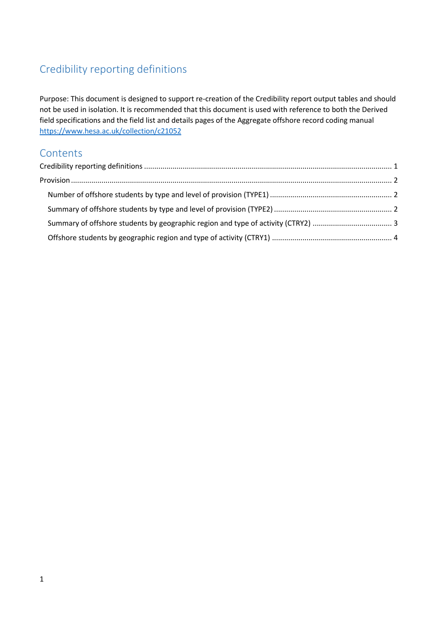# <span id="page-0-0"></span>Credibility reporting definitions

Purpose: This document is designed to support re-creation of the Credibility report output tables and should not be used in isolation. It is recommended that this document is used with reference to both the Derived field specifications and the field list and details pages of the Aggregate offshore record coding manual <https://www.hesa.ac.uk/collection/c21052>

# **Contents**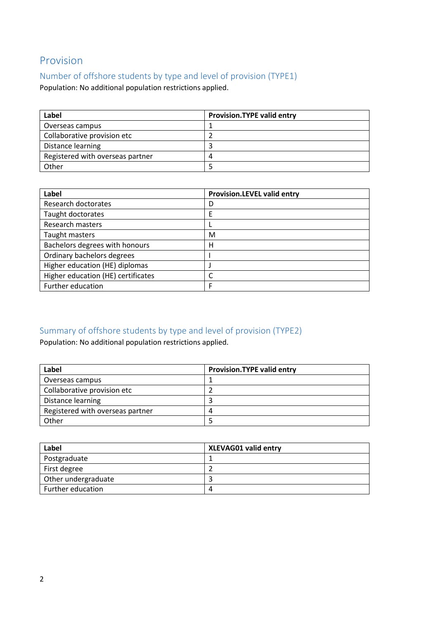# <span id="page-1-0"></span>Provision

#### <span id="page-1-1"></span>Number of offshore students by type and level of provision (TYPE1)

Population: No additional population restrictions applied.

| Label                            | <b>Provision.TYPE valid entry</b> |
|----------------------------------|-----------------------------------|
| Overseas campus                  |                                   |
| Collaborative provision etc      |                                   |
| Distance learning                |                                   |
| Registered with overseas partner |                                   |
| Other                            |                                   |

| Label                              | <b>Provision.LEVEL valid entry</b> |
|------------------------------------|------------------------------------|
| Research doctorates                | D                                  |
| Taught doctorates                  | E                                  |
| <b>Research masters</b>            |                                    |
| Taught masters                     | M                                  |
| Bachelors degrees with honours     | н                                  |
| Ordinary bachelors degrees         |                                    |
| Higher education (HE) diplomas     |                                    |
| Higher education (HE) certificates |                                    |
| Further education                  | F                                  |

# <span id="page-1-2"></span>Summary of offshore students by type and level of provision (TYPE2)

Population: No additional population restrictions applied.

| Label                            | <b>Provision.TYPE valid entry</b> |
|----------------------------------|-----------------------------------|
| Overseas campus                  |                                   |
| Collaborative provision etc      |                                   |
| Distance learning                |                                   |
| Registered with overseas partner |                                   |
| Other                            |                                   |

| Label               | <b>XLEVAG01 valid entry</b> |
|---------------------|-----------------------------|
| Postgraduate        |                             |
| First degree        |                             |
| Other undergraduate |                             |
| Further education   | 4                           |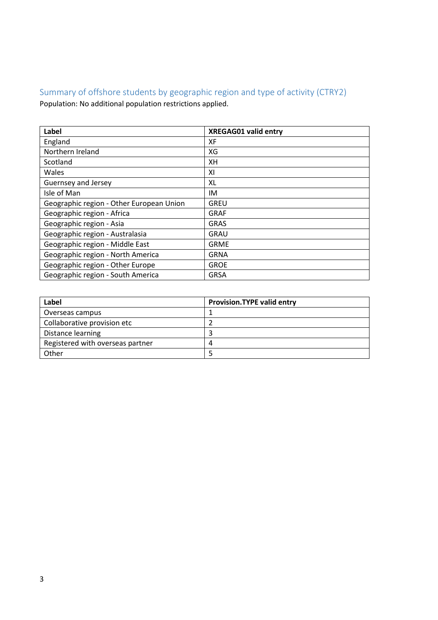# <span id="page-2-0"></span>Summary of offshore students by geographic region and type of activity (CTRY2) Population: No additional population restrictions applied.

| <b>Label</b>                             | <b>XREGAG01 valid entry</b> |
|------------------------------------------|-----------------------------|
| England                                  | XF                          |
| Northern Ireland                         | XG                          |
| Scotland                                 | XН                          |
| Wales                                    | XI                          |
| Guernsey and Jersey                      | XL                          |
| Isle of Man                              | IM                          |
| Geographic region - Other European Union | <b>GREU</b>                 |
| Geographic region - Africa               | <b>GRAF</b>                 |
| Geographic region - Asia                 | <b>GRAS</b>                 |
| Geographic region - Australasia          | <b>GRAU</b>                 |
| Geographic region - Middle East          | <b>GRME</b>                 |
| Geographic region - North America        | <b>GRNA</b>                 |
| Geographic region - Other Europe         | <b>GROE</b>                 |
| Geographic region - South America        | <b>GRSA</b>                 |

| Label                            | <b>Provision.TYPE valid entry</b> |
|----------------------------------|-----------------------------------|
| Overseas campus                  |                                   |
| Collaborative provision etc      |                                   |
| Distance learning                |                                   |
| Registered with overseas partner |                                   |
| Other                            |                                   |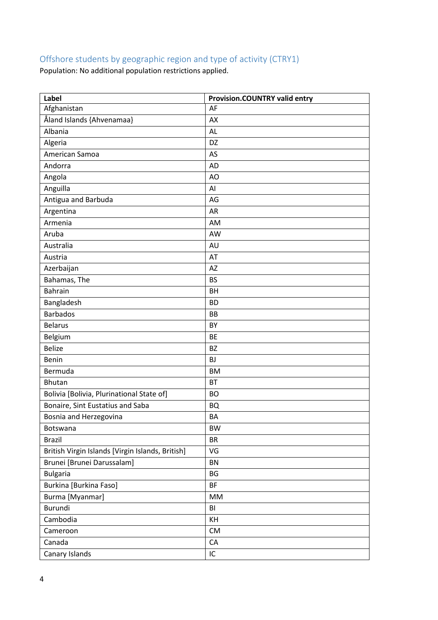# <span id="page-3-0"></span>Offshore students by geographic region and type of activity (CTRY1)

Population: No additional population restrictions applied.

| Label                                            | <b>Provision.COUNTRY valid entry</b> |
|--------------------------------------------------|--------------------------------------|
| Afghanistan                                      | AF                                   |
| Åland Islands {Ahvenamaa}                        | AX                                   |
| Albania                                          | <b>AL</b>                            |
| Algeria                                          | DZ                                   |
| American Samoa                                   | AS                                   |
| Andorra                                          | <b>AD</b>                            |
| Angola                                           | AO                                   |
| Anguilla                                         | AI                                   |
| Antigua and Barbuda                              | AG                                   |
| Argentina                                        | AR                                   |
| Armenia                                          | AM                                   |
| Aruba                                            | AW                                   |
| Australia                                        | AU                                   |
| Austria                                          | AT                                   |
| Azerbaijan                                       | <b>AZ</b>                            |
| Bahamas, The                                     | <b>BS</b>                            |
| <b>Bahrain</b>                                   | <b>BH</b>                            |
| Bangladesh                                       | <b>BD</b>                            |
| <b>Barbados</b>                                  | <b>BB</b>                            |
| <b>Belarus</b>                                   | BY                                   |
| Belgium                                          | <b>BE</b>                            |
| <b>Belize</b>                                    | <b>BZ</b>                            |
| Benin                                            | <b>BJ</b>                            |
| Bermuda                                          | <b>BM</b>                            |
| <b>Bhutan</b>                                    | <b>BT</b>                            |
| Bolivia [Bolivia, Plurinational State of]        | <b>BO</b>                            |
| Bonaire, Sint Eustatius and Saba                 | <b>BQ</b>                            |
| Bosnia and Herzegovina                           | BA                                   |
| Botswana                                         | <b>BW</b>                            |
| <b>Brazil</b>                                    | <b>BR</b>                            |
| British Virgin Islands [Virgin Islands, British] | VG                                   |
| Brunei [Brunei Darussalam]                       | <b>BN</b>                            |
| <b>Bulgaria</b>                                  | <b>BG</b>                            |
| Burkina [Burkina Faso]                           | <b>BF</b>                            |
| Burma [Myanmar]                                  | MM                                   |
| <b>Burundi</b>                                   | BI                                   |
| Cambodia                                         | KH                                   |
| Cameroon                                         | <b>CM</b>                            |
| Canada                                           | CA                                   |
| Canary Islands                                   | IC                                   |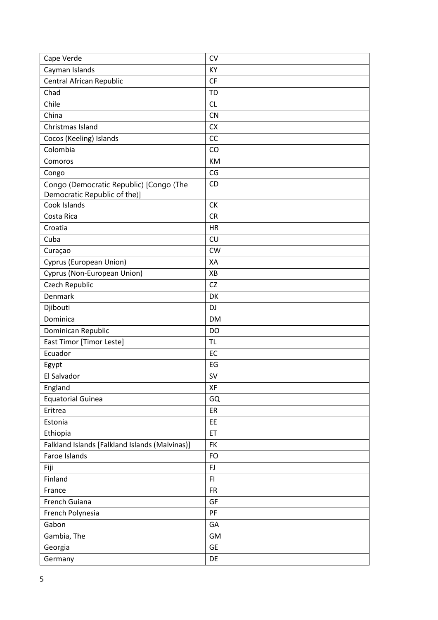| Cape Verde                                     | <b>CV</b> |
|------------------------------------------------|-----------|
| Cayman Islands                                 | KY        |
| Central African Republic                       | <b>CF</b> |
| Chad                                           | <b>TD</b> |
| Chile                                          | CL        |
| China                                          | <b>CN</b> |
| Christmas Island                               | <b>CX</b> |
| Cocos (Keeling) Islands                        | CC        |
| Colombia                                       | CO        |
| Comoros                                        | KM        |
| Congo                                          | CG        |
| Congo (Democratic Republic) [Congo (The        | CD        |
| Democratic Republic of the)]                   |           |
| Cook Islands                                   | <b>CK</b> |
| Costa Rica                                     | <b>CR</b> |
| Croatia                                        | <b>HR</b> |
| Cuba                                           | CU        |
| Curaçao                                        | <b>CW</b> |
| Cyprus (European Union)                        | XA        |
| Cyprus (Non-European Union)                    | XB        |
| Czech Republic                                 | <b>CZ</b> |
| Denmark                                        | DK        |
| Djibouti                                       | DJ        |
| Dominica                                       | <b>DM</b> |
| Dominican Republic                             | <b>DO</b> |
| East Timor [Timor Leste]                       | <b>TL</b> |
| Ecuador                                        | EC        |
| Egypt                                          | EG        |
| El Salvador                                    | SV        |
| England                                        | XF        |
| <b>Equatorial Guinea</b>                       | GQ        |
| Eritrea                                        | ER        |
| Estonia                                        | EE        |
| Ethiopia                                       | ET        |
| Falkland Islands [Falkland Islands (Malvinas)] | FK        |
| Faroe Islands                                  | <b>FO</b> |
| Fiji                                           | FJ        |
| Finland                                        | F1        |
| France                                         | <b>FR</b> |
| French Guiana                                  | GF        |
| French Polynesia                               | PF        |
| Gabon                                          | GA        |
| Gambia, The                                    | GM        |
| Georgia                                        | <b>GE</b> |
| Germany                                        | DE        |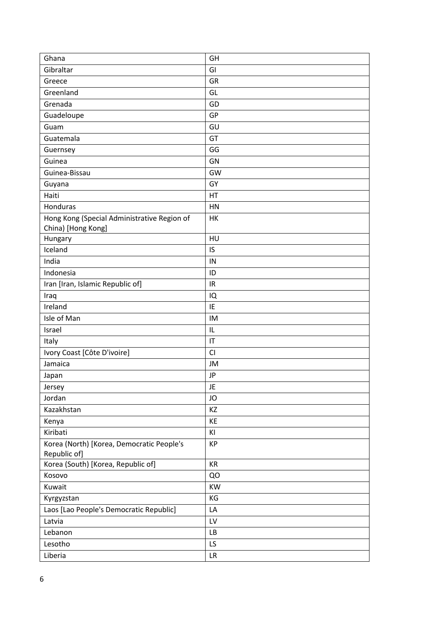| Ghana                                                     | GH        |
|-----------------------------------------------------------|-----------|
| Gibraltar                                                 | GI        |
| Greece                                                    | GR        |
| Greenland                                                 | GL        |
| Grenada                                                   | GD        |
| Guadeloupe                                                | GP        |
| Guam                                                      | GU        |
| Guatemala                                                 | GT        |
| Guernsey                                                  | GG        |
| Guinea                                                    | GN        |
| Guinea-Bissau                                             | GW        |
| Guyana                                                    | GY        |
| Haiti                                                     | HT        |
| Honduras                                                  | HN        |
| Hong Kong (Special Administrative Region of               | HK        |
| China) [Hong Kong]                                        |           |
| Hungary                                                   | HU        |
| Iceland                                                   | IS        |
| India                                                     | IN        |
| Indonesia                                                 | ID        |
| Iran [Iran, Islamic Republic of]                          | IR        |
| Iraq                                                      | IQ        |
| Ireland                                                   | IE        |
| Isle of Man                                               | IM        |
| Israel                                                    | IL        |
| Italy                                                     | IT        |
| Ivory Coast [Côte D'ivoire]                               | CI        |
| Jamaica                                                   | JM        |
| Japan                                                     | <b>JP</b> |
| Jersey                                                    | JE        |
| Jordan                                                    | JO        |
| Kazakhstan                                                | KZ        |
| Kenya                                                     | KE        |
| Kiribati                                                  | KI        |
| Korea (North) [Korea, Democratic People's<br>Republic of] | <b>KP</b> |
| Korea (South) [Korea, Republic of]                        | KR        |
| Kosovo                                                    | QO        |
| Kuwait                                                    | KW        |
| Kyrgyzstan                                                | KG        |
| Laos [Lao People's Democratic Republic]                   | LA        |
| Latvia                                                    | LV        |
| Lebanon                                                   | LB        |
| Lesotho                                                   | LS        |
| Liberia                                                   | LR        |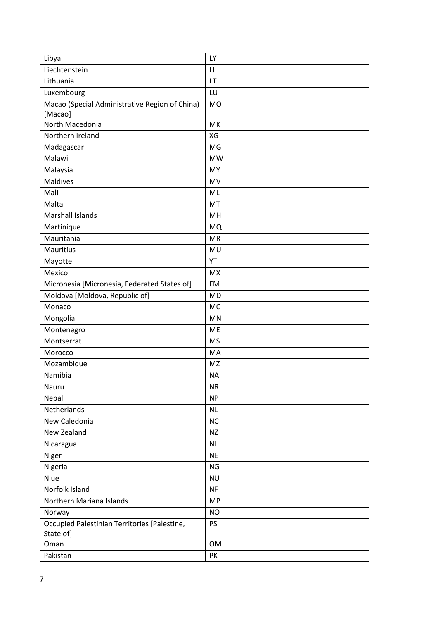| Libya                                          | LY                     |
|------------------------------------------------|------------------------|
| Liechtenstein                                  | $\mathsf{L}\mathsf{I}$ |
| Lithuania                                      | LT                     |
| Luxembourg                                     | LU                     |
| Macao (Special Administrative Region of China) | <b>MO</b>              |
| [Macao]                                        |                        |
| North Macedonia                                | MK                     |
| Northern Ireland                               | XG                     |
| Madagascar                                     | MG                     |
| Malawi                                         | <b>MW</b>              |
| Malaysia                                       | MY                     |
| <b>Maldives</b>                                | MV                     |
| Mali                                           | ML                     |
| Malta                                          | MT                     |
| <b>Marshall Islands</b>                        | MH                     |
| Martinique                                     | <b>MQ</b>              |
| Mauritania                                     | <b>MR</b>              |
| <b>Mauritius</b>                               | MU                     |
| Mayotte                                        | YT                     |
| Mexico                                         | <b>MX</b>              |
| Micronesia [Micronesia, Federated States of]   | <b>FM</b>              |
| Moldova [Moldova, Republic of]                 | <b>MD</b>              |
| Monaco                                         | <b>MC</b>              |
| Mongolia                                       | <b>MN</b>              |
| Montenegro                                     | <b>ME</b>              |
| Montserrat                                     | <b>MS</b>              |
| Morocco                                        | MA                     |
| Mozambique                                     | MZ                     |
| Namibia                                        | <b>NA</b>              |
| Nauru                                          | <b>NR</b>              |
| Nepal                                          | <b>NP</b>              |
| Netherlands                                    | <b>NL</b>              |
| New Caledonia                                  | NC                     |
| New Zealand                                    | <b>NZ</b>              |
| Nicaragua                                      | N <sub>l</sub>         |
| Niger                                          | <b>NE</b>              |
| Nigeria                                        | <b>NG</b>              |
| Niue                                           | <b>NU</b>              |
| Norfolk Island                                 | <b>NF</b>              |
| Northern Mariana Islands                       | <b>MP</b>              |
| Norway                                         | <b>NO</b>              |
| Occupied Palestinian Territories [Palestine,   | <b>PS</b>              |
| State of]                                      |                        |
| Oman                                           | <b>OM</b>              |
| Pakistan                                       | PK                     |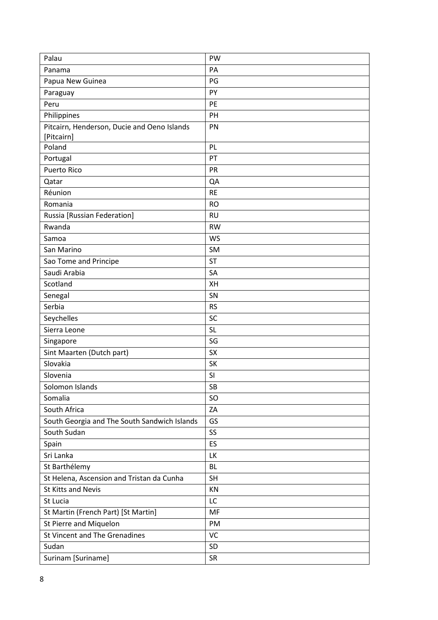| Palau                                        | <b>PW</b> |
|----------------------------------------------|-----------|
| Panama                                       | PA        |
| Papua New Guinea                             | PG        |
| Paraguay                                     | PY        |
| Peru                                         | PE        |
| Philippines                                  | PH        |
| Pitcairn, Henderson, Ducie and Oeno Islands  | PN        |
| [Pitcairn]                                   |           |
| Poland                                       | PL        |
| Portugal                                     | PT        |
| <b>Puerto Rico</b>                           | PR        |
| Qatar                                        | QA        |
| Réunion                                      | <b>RE</b> |
| Romania                                      | <b>RO</b> |
| Russia [Russian Federation]                  | <b>RU</b> |
| Rwanda                                       | <b>RW</b> |
| Samoa                                        | <b>WS</b> |
| San Marino                                   | <b>SM</b> |
| Sao Tome and Principe                        | <b>ST</b> |
| Saudi Arabia                                 | SA        |
| Scotland                                     | XH        |
| Senegal                                      | SN        |
| Serbia                                       | <b>RS</b> |
| Seychelles                                   | SC        |
| Sierra Leone                                 | <b>SL</b> |
| Singapore                                    | SG        |
| Sint Maarten (Dutch part)                    | <b>SX</b> |
| Slovakia                                     | SK        |
| Slovenia                                     | SI        |
| Solomon Islands                              | SB        |
| Somalia                                      | SO        |
| South Africa                                 | ZA        |
| South Georgia and The South Sandwich Islands | GS        |
| South Sudan                                  | SS        |
| Spain                                        | ES        |
| Sri Lanka                                    | LK        |
| St Barthélemy                                | <b>BL</b> |
| St Helena, Ascension and Tristan da Cunha    | <b>SH</b> |
| <b>St Kitts and Nevis</b>                    | KN        |
| St Lucia                                     | LC        |
| St Martin (French Part) [St Martin]          | MF        |
| St Pierre and Miquelon                       | PM        |
| St Vincent and The Grenadines                | VC        |
| Sudan                                        | SD        |
| Surinam [Suriname]                           | <b>SR</b> |